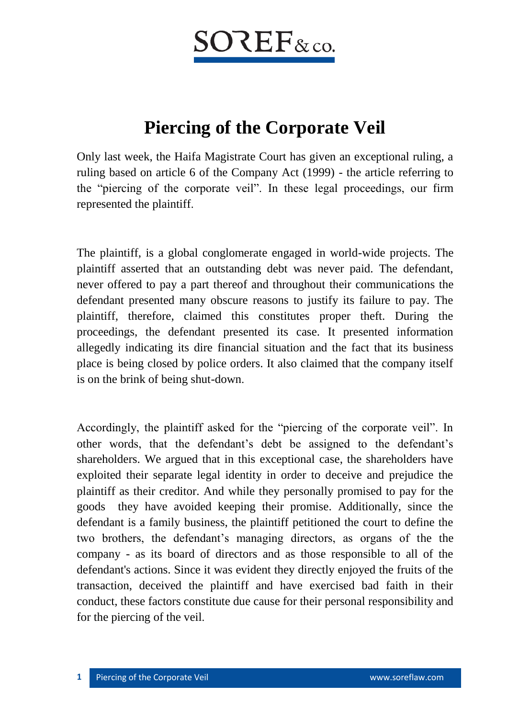## $\mathsf{SO}\mathsf{REF}_{\&\,\mathrm{co.}}$

## **Piercing of the Corporate Veil**

Only last week, the Haifa Magistrate Court has given an exceptional ruling, a ruling based on article 6 of the Company Act (1999) - the article referring to the "piercing of the corporate veil". In these legal proceedings, our firm represented the plaintiff.

The plaintiff, is a global conglomerate engaged in world-wide projects. The plaintiff asserted that an outstanding debt was never paid. The defendant, never offered to pay a part thereof and throughout their communications the defendant presented many obscure reasons to justify its failure to pay. The plaintiff, therefore, claimed this constitutes proper theft. During the proceedings, the defendant presented its case. It presented information allegedly indicating its dire financial situation and the fact that its business place is being closed by police orders. It also claimed that the company itself is on the brink of being shut-down.

Accordingly, the plaintiff asked for the "piercing of the corporate veil". In other words, that the defendant's debt be assigned to the defendant's shareholders. We argued that in this exceptional case, the shareholders have exploited their separate legal identity in order to deceive and prejudice the plaintiff as their creditor. And while they personally promised to pay for the goods they have avoided keeping their promise. Additionally, since the defendant is a family business, the plaintiff petitioned the court to define the two brothers, the defendant's managing directors, as organs of the the company - as its board of directors and as those responsible to all of the defendant's actions. Since it was evident they directly enjoyed the fruits of the transaction, deceived the plaintiff and have exercised bad faith in their conduct, these factors constitute due cause for their personal responsibility and for the piercing of the veil.